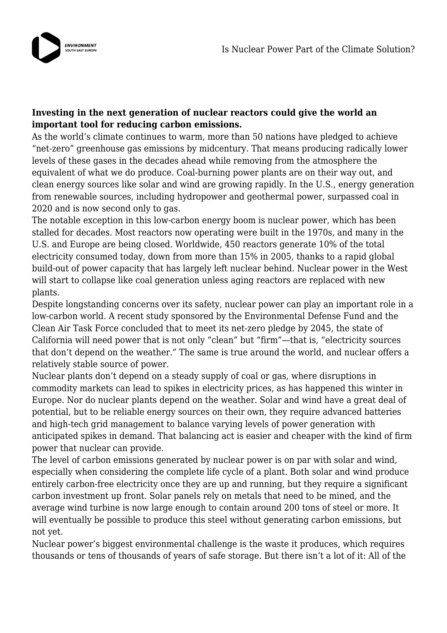

## **Investing in the next generation of nuclear reactors could give the world an important tool for reducing carbon emissions.**

As the world's climate continues to warm, more than 50 nations have pledged to achieve "net-zero" greenhouse gas emissions by midcentury. That means producing radically lower levels of these gases in the decades ahead while removing from the atmosphere the equivalent of what we do produce. Coal-burning power plants are on their way out, and clean energy sources like solar and wind are growing rapidly. In the U.S., energy generation from renewable sources, including hydropower and geothermal power, surpassed coal in 2020 and is now second only to gas.

The notable exception in this low-carbon energy boom is nuclear power, which has been stalled for decades. Most reactors now operating were built in the 1970s, and many in the U.S. and Europe are being closed. Worldwide, 450 reactors generate 10% of the total electricity consumed today, down from more than 15% in 2005, thanks to a rapid global build-out of power capacity that has largely left nuclear behind. Nuclear power in the West will start to collapse like coal generation unless aging reactors are replaced with new plants.

Despite longstanding concerns over its safety, nuclear power can play an important role in a low-carbon world. A recent study sponsored by the Environmental Defense Fund and the Clean Air Task Force concluded that to meet its net-zero pledge by 2045, the state of California will need power that is not only "clean" but "firm"—that is, "electricity sources that don't depend on the weather." The same is true around the world, and nuclear offers a relatively stable source of power.

Nuclear plants don't depend on a steady supply of coal or gas, where disruptions in commodity markets can lead to spikes in electricity prices, as has happened this winter in Europe. Nor do nuclear plants depend on the weather. Solar and wind have a great deal of potential, but to be reliable energy sources on their own, they require advanced batteries and high-tech grid management to balance varying levels of power generation with anticipated spikes in demand. That balancing act is easier and cheaper with the kind of firm power that nuclear can provide.

The level of carbon emissions generated by nuclear power is on par with solar and wind, especially when considering the complete life cycle of a plant. Both solar and wind produce entirely carbon-free electricity once they are up and running, but they require a significant carbon investment up front. Solar panels rely on metals that need to be mined, and the average wind turbine is now large enough to contain around 200 tons of steel or more. It will eventually be possible to produce this steel without generating carbon emissions, but not yet.

Nuclear power's biggest environmental challenge is the waste it produces, which requires thousands or tens of thousands of years of safe storage. But there isn't a lot of it: All of the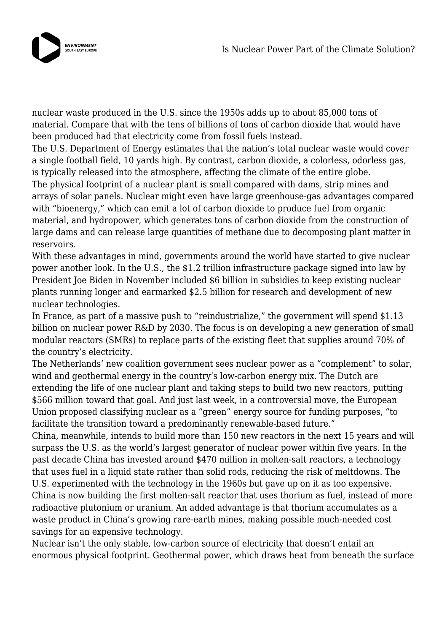

nuclear waste produced in the U.S. since the 1950s adds up to about 85,000 tons of material. Compare that with the tens of billions of tons of carbon dioxide that would have been produced had that electricity come from fossil fuels instead.

The U.S. Department of Energy estimates that the nation's total nuclear waste would cover a single football field, 10 yards high. By contrast, carbon dioxide, a colorless, odorless gas, is typically released into the atmosphere, affecting the climate of the entire globe.

The physical footprint of a nuclear plant is small compared with dams, strip mines and arrays of solar panels. Nuclear might even have large greenhouse-gas advantages compared with "bioenergy," which can emit a lot of carbon dioxide to produce fuel from organic material, and hydropower, which generates tons of carbon dioxide from the construction of large dams and can release large quantities of methane due to decomposing plant matter in reservoirs.

With these advantages in mind, governments around the world have started to give nuclear power another look. In the U.S., the \$1.2 trillion infrastructure package signed into law by President Joe Biden in November included \$6 billion in subsidies to keep existing nuclear plants running longer and earmarked \$2.5 billion for research and development of new nuclear technologies.

In France, as part of a massive push to "reindustrialize," the government will spend \$1.13 billion on nuclear power R&D by 2030. The focus is on developing a new generation of small modular reactors (SMRs) to replace parts of the existing fleet that supplies around 70% of the country's electricity.

The Netherlands' new coalition government sees nuclear power as a "complement" to solar, wind and geothermal energy in the country's low-carbon energy mix. The Dutch are extending the life of one nuclear plant and taking steps to build two new reactors, putting \$566 million toward that goal. And just last week, in a controversial move, the European Union proposed classifying nuclear as a "green" energy source for funding purposes, "to facilitate the transition toward a predominantly renewable-based future."

China, meanwhile, intends to build more than 150 new reactors in the next 15 years and will surpass the U.S. as the world's largest generator of nuclear power within five years. In the past decade China has invested around \$470 million in molten-salt reactors, a technology that uses fuel in a liquid state rather than solid rods, reducing the risk of meltdowns. The U.S. experimented with the technology in the 1960s but gave up on it as too expensive. China is now building the first molten-salt reactor that uses thorium as fuel, instead of more

radioactive plutonium or uranium. An added advantage is that thorium accumulates as a waste product in China's growing rare-earth mines, making possible much-needed cost savings for an expensive technology.

Nuclear isn't the only stable, low-carbon source of electricity that doesn't entail an enormous physical footprint. Geothermal power, which draws heat from beneath the surface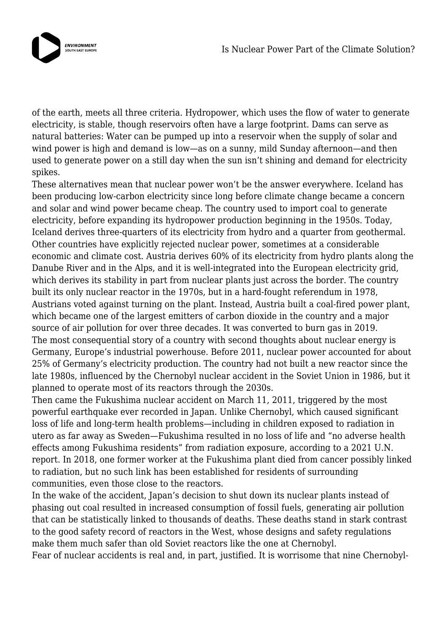

of the earth, meets all three criteria. Hydropower, which uses the flow of water to generate electricity, is stable, though reservoirs often have a large footprint. Dams can serve as natural batteries: Water can be pumped up into a reservoir when the supply of solar and wind power is high and demand is low—as on a sunny, mild Sunday afternoon—and then used to generate power on a still day when the sun isn't shining and demand for electricity spikes.

These alternatives mean that nuclear power won't be the answer everywhere. Iceland has been producing low-carbon electricity since long before climate change became a concern and solar and wind power became cheap. The country used to import coal to generate electricity, before expanding its hydropower production beginning in the 1950s. Today, Iceland derives three-quarters of its electricity from hydro and a quarter from geothermal. Other countries have explicitly rejected nuclear power, sometimes at a considerable economic and climate cost. Austria derives 60% of its electricity from hydro plants along the Danube River and in the Alps, and it is well-integrated into the European electricity grid, which derives its stability in part from nuclear plants just across the border. The country built its only nuclear reactor in the 1970s, but in a hard-fought referendum in 1978, Austrians voted against turning on the plant. Instead, Austria built a coal-fired power plant, which became one of the largest emitters of carbon dioxide in the country and a major source of air pollution for over three decades. It was converted to burn gas in 2019. The most consequential story of a country with second thoughts about nuclear energy is Germany, Europe's industrial powerhouse. Before 2011, nuclear power accounted for about 25% of Germany's electricity production. The country had not built a new reactor since the late 1980s, influenced by the Chernobyl nuclear accident in the Soviet Union in 1986, but it planned to operate most of its reactors through the 2030s.

Then came the Fukushima nuclear accident on March 11, 2011, triggered by the most powerful earthquake ever recorded in Japan. Unlike Chernobyl, which caused significant loss of life and long-term health problems—including in children exposed to radiation in utero as far away as Sweden—Fukushima resulted in no loss of life and "no adverse health effects among Fukushima residents" from radiation exposure, according to a 2021 U.N. report. In 2018, one former worker at the Fukushima plant died from cancer possibly linked to radiation, but no such link has been established for residents of surrounding communities, even those close to the reactors.

In the wake of the accident, Japan's decision to shut down its nuclear plants instead of phasing out coal resulted in increased consumption of fossil fuels, generating air pollution that can be statistically linked to thousands of deaths. These deaths stand in stark contrast to the good safety record of reactors in the West, whose designs and safety regulations make them much safer than old Soviet reactors like the one at Chernobyl. Fear of nuclear accidents is real and, in part, justified. It is worrisome that nine Chernobyl-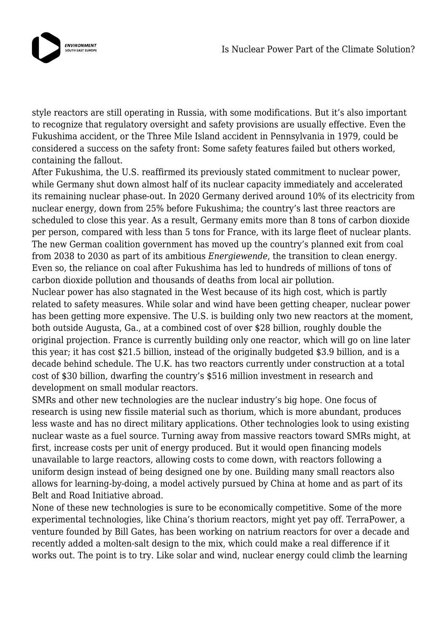

style reactors are still operating in Russia, with some modifications. But it's also important to recognize that regulatory oversight and safety provisions are usually effective. Even the Fukushima accident, or the Three Mile Island accident in Pennsylvania in 1979, could be considered a success on the safety front: Some safety features failed but others worked, containing the fallout.

After Fukushima, the U.S. reaffirmed its previously stated commitment to nuclear power, while Germany shut down almost half of its nuclear capacity immediately and accelerated its remaining nuclear phase-out. In 2020 Germany derived around 10% of its electricity from nuclear energy, down from 25% before Fukushima; the country's last three reactors are scheduled to close this year. As a result, Germany emits more than 8 tons of carbon dioxide per person, compared with less than 5 tons for France, with its large fleet of nuclear plants. The new German coalition government has moved up the country's planned exit from coal from 2038 to 2030 as part of its ambitious *Energiewende*, the transition to clean energy. Even so, the reliance on coal after Fukushima has led to hundreds of millions of tons of carbon dioxide pollution and thousands of deaths from local air pollution.

Nuclear power has also stagnated in the West because of its high cost, which is partly related to safety measures. While solar and wind have been getting cheaper, nuclear power has been getting more expensive. The U.S. is building only two new reactors at the moment, both outside Augusta, Ga., at a combined cost of over \$28 billion, roughly double the original projection. France is currently building only one reactor, which will go on line later this year; it has cost \$21.5 billion, instead of the originally budgeted \$3.9 billion, and is a decade behind schedule. The U.K. has two reactors currently under construction at a total cost of \$30 billion, dwarfing the country's \$516 million investment in research and development on small modular reactors.

SMRs and other new technologies are the nuclear industry's big hope. One focus of research is using new fissile material such as thorium, which is more abundant, produces less waste and has no direct military applications. Other technologies look to using existing nuclear waste as a fuel source. Turning away from massive reactors toward SMRs might, at first, increase costs per unit of energy produced. But it would open financing models unavailable to large reactors, allowing costs to come down, with reactors following a uniform design instead of being designed one by one. Building many small reactors also allows for learning-by-doing, a model actively pursued by China at home and as part of its Belt and Road Initiative abroad.

None of these new technologies is sure to be economically competitive. Some of the more experimental technologies, like China's thorium reactors, might yet pay off. TerraPower, a venture founded by Bill Gates, has been working on natrium reactors for over a decade and recently added a molten-salt design to the mix, which could make a real difference if it works out. The point is to try. Like solar and wind, nuclear energy could climb the learning